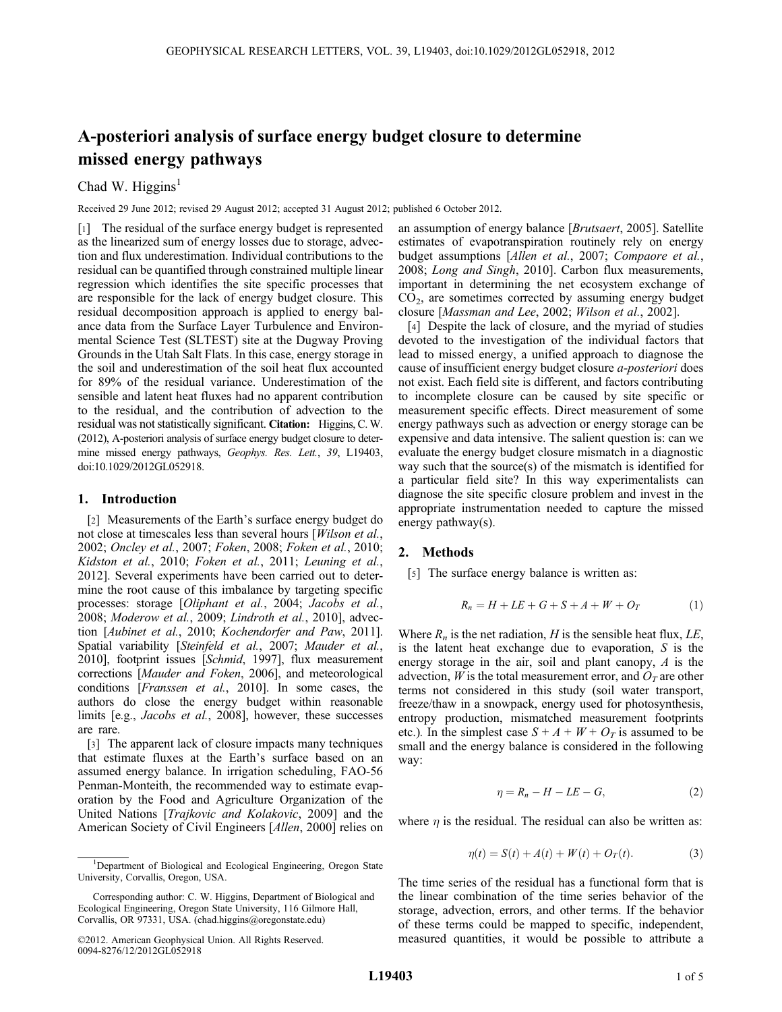# A-posteriori analysis of surface energy budget closure to determine missed energy pathways

## Chad W. Higgins<sup>1</sup>

Received 29 June 2012; revised 29 August 2012; accepted 31 August 2012; published 6 October 2012.

[1] The residual of the surface energy budget is represented as the linearized sum of energy losses due to storage, advection and flux underestimation. Individual contributions to the residual can be quantified through constrained multiple linear regression which identifies the site specific processes that are responsible for the lack of energy budget closure. This residual decomposition approach is applied to energy balance data from the Surface Layer Turbulence and Environmental Science Test (SLTEST) site at the Dugway Proving Grounds in the Utah Salt Flats. In this case, energy storage in the soil and underestimation of the soil heat flux accounted for 89% of the residual variance. Underestimation of the sensible and latent heat fluxes had no apparent contribution to the residual, and the contribution of advection to the residual was not statistically significant. Citation: Higgins, C. W. (2012), A-posteriori analysis of surface energy budget closure to determine missed energy pathways, Geophys. Res. Lett., 39, L19403, doi:10.1029/2012GL052918.

#### 1. Introduction

[2] Measurements of the Earth's surface energy budget do not close at timescales less than several hours [Wilson et al., 2002; Oncley et al., 2007; Foken, 2008; Foken et al., 2010; Kidston et al., 2010; Foken et al., 2011; Leuning et al., 2012]. Several experiments have been carried out to determine the root cause of this imbalance by targeting specific processes: storage [Oliphant et al., 2004; Jacobs et al., 2008; Moderow et al., 2009; Lindroth et al., 2010], advection [Aubinet et al., 2010; Kochendorfer and Paw, 2011]. Spatial variability [Steinfeld et al., 2007; Mauder et al., 2010], footprint issues [Schmid, 1997], flux measurement corrections [Mauder and Foken, 2006], and meteorological conditions [Franssen et al., 2010]. In some cases, the authors do close the energy budget within reasonable limits [e.g., *Jacobs et al.*, 2008], however, these successes are rare.

[3] The apparent lack of closure impacts many techniques that estimate fluxes at the Earth's surface based on an assumed energy balance. In irrigation scheduling, FAO-56 Penman-Monteith, the recommended way to estimate evaporation by the Food and Agriculture Organization of the United Nations [Trajkovic and Kolakovic, 2009] and the American Society of Civil Engineers [Allen, 2000] relies on an assumption of energy balance [Brutsaert, 2005]. Satellite estimates of evapotranspiration routinely rely on energy budget assumptions [Allen et al., 2007; Compaore et al., 2008; Long and Singh, 2010]. Carbon flux measurements, important in determining the net ecosystem exchange of  $CO<sub>2</sub>$ , are sometimes corrected by assuming energy budget closure [Massman and Lee, 2002; Wilson et al., 2002].

[4] Despite the lack of closure, and the myriad of studies devoted to the investigation of the individual factors that lead to missed energy, a unified approach to diagnose the cause of insufficient energy budget closure a-posteriori does not exist. Each field site is different, and factors contributing to incomplete closure can be caused by site specific or measurement specific effects. Direct measurement of some energy pathways such as advection or energy storage can be expensive and data intensive. The salient question is: can we evaluate the energy budget closure mismatch in a diagnostic way such that the source(s) of the mismatch is identified for a particular field site? In this way experimentalists can diagnose the site specific closure problem and invest in the appropriate instrumentation needed to capture the missed energy pathway(s).

#### 2. Methods

[5] The surface energy balance is written as:

$$
R_n = H + LE + G + S + A + W + O_T \tag{1}
$$

Where  $R_n$  is the net radiation, H is the sensible heat flux, LE, is the latent heat exchange due to evaporation, S is the energy storage in the air, soil and plant canopy, A is the advection,  $W$  is the total measurement error, and  $O_T$  are other terms not considered in this study (soil water transport, freeze/thaw in a snowpack, energy used for photosynthesis, entropy production, mismatched measurement footprints etc.). In the simplest case  $S + A + W + O_T$  is assumed to be small and the energy balance is considered in the following way:

$$
\eta = R_n - H - LE - G,\tag{2}
$$

where  $\eta$  is the residual. The residual can also be written as:

$$
\eta(t) = S(t) + A(t) + W(t) + O_T(t).
$$
 (3)

The time series of the residual has a functional form that is the linear combination of the time series behavior of the storage, advection, errors, and other terms. If the behavior of these terms could be mapped to specific, independent, measured quantities, it would be possible to attribute a

<sup>&</sup>lt;sup>1</sup>Department of Biological and Ecological Engineering, Oregon State University, Corvallis, Oregon, USA.

Corresponding author: C. W. Higgins, Department of Biological and Ecological Engineering, Oregon State University, 116 Gilmore Hall, Corvallis, OR 97331, USA. (chad.higgins@oregonstate.edu)

<sup>©2012.</sup> American Geophysical Union. All Rights Reserved. 0094-8276/12/2012GL052918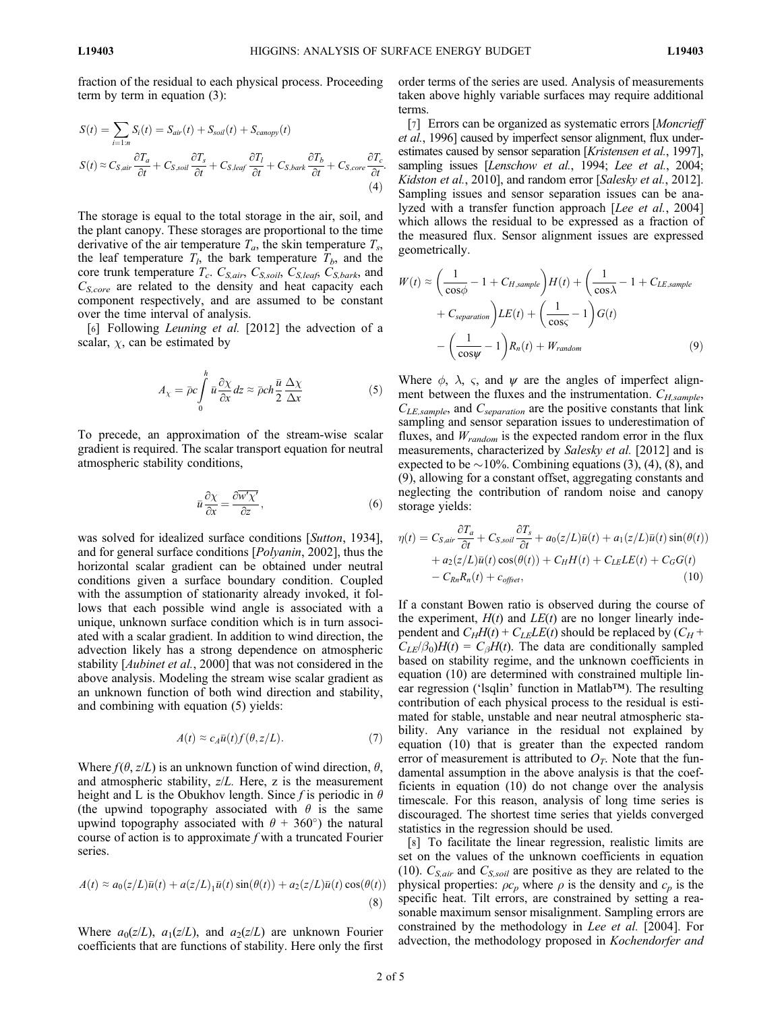:

fraction of the residual to each physical process. Proceeding term by term in equation (3):

$$
S(t) = \sum_{i=1:n} S_i(t) = S_{air}(t) + S_{soil}(t) + S_{canopy}(t)
$$
  
\n
$$
S(t) \approx C_{S,air} \frac{\partial T_a}{\partial t} + C_{S,soil} \frac{\partial T_s}{\partial t} + C_{S,leaf} \frac{\partial T_l}{\partial t} + C_{S,bark} \frac{\partial T_b}{\partial t} + C_{S,core} \frac{\partial T_c}{\partial t}
$$
\n(4)

The storage is equal to the total storage in the air, soil, and the plant canopy. These storages are proportional to the time derivative of the air temperature  $T_a$ , the skin temperature  $T_s$ , the leaf temperature  $T_l$ , the bark temperature  $T_b$ , and the core trunk temperature  $T_c$ .  $C_{S,air}$ ,  $C_{S,soil}$ ,  $C_{S,leaf}$ ,  $C_{S,bark}$ , and  $C_{S,core}$  are related to the density and heat capacity each component respectively, and are assumed to be constant over the time interval of analysis.

[6] Following *Leuning et al.* [2012] the advection of a scalar,  $\chi$ , can be estimated by

$$
A_{\chi} = \bar{\rho}c \int_{0}^{h} \bar{u} \frac{\partial \chi}{\partial x} dz \approx \bar{\rho}ch \frac{\bar{u}}{2} \frac{\Delta \chi}{\Delta x}
$$
 (5)

To precede, an approximation of the stream-wise scalar gradient is required. The scalar transport equation for neutral atmospheric stability conditions,

$$
\bar{u}\frac{\partial \chi}{\partial x} = \frac{\partial \overline{w' \chi'}}{\partial z},\tag{6}
$$

was solved for idealized surface conditions [Sutton, 1934], and for general surface conditions [Polyanin, 2002], thus the horizontal scalar gradient can be obtained under neutral conditions given a surface boundary condition. Coupled with the assumption of stationarity already invoked, it follows that each possible wind angle is associated with a unique, unknown surface condition which is in turn associated with a scalar gradient. In addition to wind direction, the advection likely has a strong dependence on atmospheric stability [*Aubinet et al.*, 2000] that was not considered in the above analysis. Modeling the stream wise scalar gradient as an unknown function of both wind direction and stability, and combining with equation (5) yields:

$$
A(t) \approx c_A \bar{u}(t) f(\theta, z/L). \tag{7}
$$

Where  $f(\theta, z/L)$  is an unknown function of wind direction,  $\theta$ , and atmospheric stability, z/L. Here, z is the measurement height and L is the Obukhov length. Since f is periodic in  $\theta$ (the upwind topography associated with  $\theta$  is the same upwind topography associated with  $\theta$  + 360°) the natural course of action is to approximate  $f$  with a truncated Fourier series.

$$
A(t) \approx a_0(z/L)\bar{u}(t) + a(z/L)_1\bar{u}(t)\sin(\theta(t)) + a_2(z/L)\bar{u}(t)\cos(\theta(t))
$$
\n(8)

Where  $a_0(z/L)$ ,  $a_1(z/L)$ , and  $a_2(z/L)$  are unknown Fourier coefficients that are functions of stability. Here only the first order terms of the series are used. Analysis of measurements taken above highly variable surfaces may require additional terms.

[7] Errors can be organized as systematic errors [Moncrieff] et al., 1996] caused by imperfect sensor alignment, flux underestimates caused by sensor separation [Kristensen et al., 1997], sampling issues [Lenschow et al., 1994; Lee et al., 2004; Kidston et al., 2010], and random error [Salesky et al., 2012]. Sampling issues and sensor separation issues can be analyzed with a transfer function approach [Lee et al., 2004] which allows the residual to be expressed as a fraction of the measured flux. Sensor alignment issues are expressed geometrically.

$$
W(t) \approx \left(\frac{1}{\cos\phi} - 1 + C_{H,sample}\right)H(t) + \left(\frac{1}{\cos\lambda} - 1 + C_{LE,sample}\right)
$$

$$
+ C_{separation}\left(Lt\right) + \left(\frac{1}{\cos\varsigma} - 1\right)G(t)
$$

$$
- \left(\frac{1}{\cos\psi} - 1\right)R_n(t) + W_{random} \tag{9}
$$

Where  $\phi$ ,  $\lambda$ ,  $\varsigma$ , and  $\psi$  are the angles of imperfect alignment between the fluxes and the instrumentation.  $C_{H, sample}$ ,  $C_{LE, sample}$ , and  $C_{separation}$  are the positive constants that link sampling and sensor separation issues to underestimation of fluxes, and  $W_{random}$  is the expected random error in the flux measurements, characterized by Salesky et al. [2012] and is expected to be  $\sim$ 10%. Combining equations (3), (4), (8), and (9), allowing for a constant offset, aggregating constants and neglecting the contribution of random noise and canopy storage yields:

$$
\eta(t) = C_{S,air} \frac{\partial T_a}{\partial t} + C_{S,soil} \frac{\partial T_s}{\partial t} + a_0(z/L)\bar{u}(t) + a_1(z/L)\bar{u}(t)\sin(\theta(t)) \n+ a_2(z/L)\bar{u}(t)\cos(\theta(t)) + C_H H(t) + C_{LE}LE(t) + C_G G(t) \n- C_{RR} R_n(t) + c_{offset},
$$
\n(10)

If a constant Bowen ratio is observed during the course of the experiment,  $H(t)$  and  $LE(t)$  are no longer linearly independent and  $C_HH(t) + C_{LE}LE(t)$  should be replaced by  $(C_H +$  $C_{LE}/\beta_0$ H(t) =  $C_{\beta}H(t)$ . The data are conditionally sampled based on stability regime, and the unknown coefficients in equation (10) are determined with constrained multiple linear regression ('lsqlin' function in Matlab™). The resulting contribution of each physical process to the residual is estimated for stable, unstable and near neutral atmospheric stability. Any variance in the residual not explained by equation (10) that is greater than the expected random error of measurement is attributed to  $O_T$ . Note that the fundamental assumption in the above analysis is that the coefficients in equation (10) do not change over the analysis timescale. For this reason, analysis of long time series is discouraged. The shortest time series that yields converged statistics in the regression should be used.

[8] To facilitate the linear regression, realistic limits are set on the values of the unknown coefficients in equation (10).  $C_{S,air}$  and  $C_{S,soil}$  are positive as they are related to the physical properties:  $\rho c_p$  where  $\rho$  is the density and  $c_p$  is the specific heat. Tilt errors, are constrained by setting a reasonable maximum sensor misalignment. Sampling errors are constrained by the methodology in Lee et al. [2004]. For advection, the methodology proposed in Kochendorfer and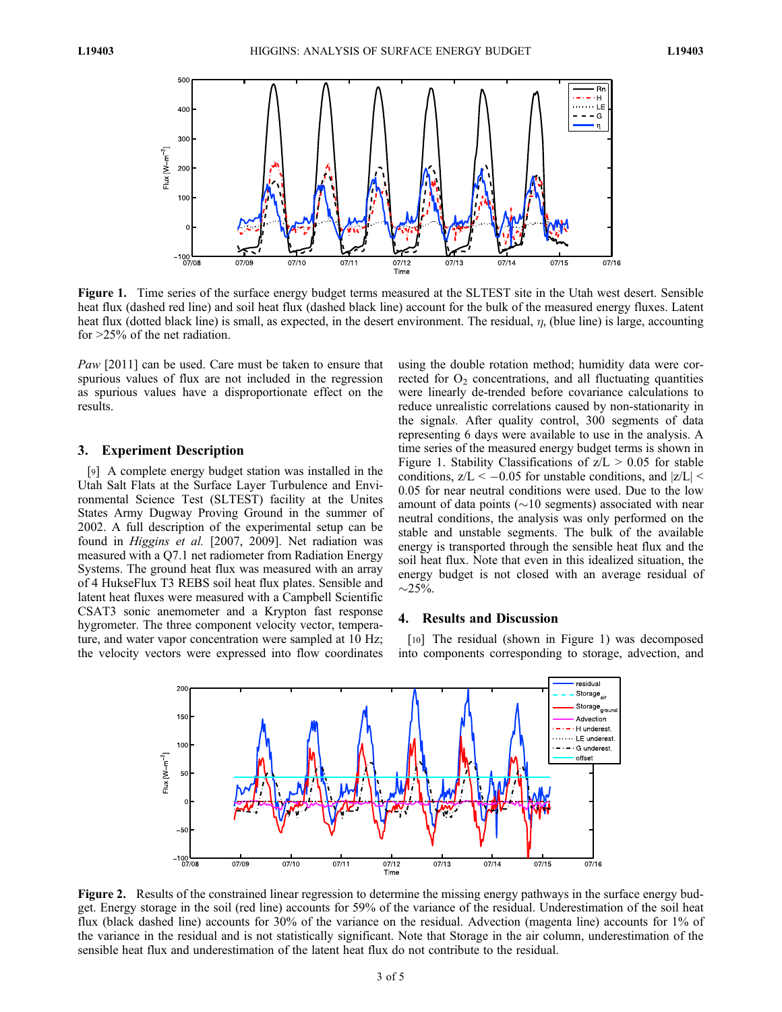

Figure 1. Time series of the surface energy budget terms measured at the SLTEST site in the Utah west desert. Sensible heat flux (dashed red line) and soil heat flux (dashed black line) account for the bulk of the measured energy fluxes. Latent heat flux (dotted black line) is small, as expected, in the desert environment. The residual,  $\eta$ , (blue line) is large, accounting for >25% of the net radiation.

Paw [2011] can be used. Care must be taken to ensure that spurious values of flux are not included in the regression as spurious values have a disproportionate effect on the results.

#### 3. Experiment Description

[9] A complete energy budget station was installed in the Utah Salt Flats at the Surface Layer Turbulence and Environmental Science Test (SLTEST) facility at the Unites States Army Dugway Proving Ground in the summer of 2002. A full description of the experimental setup can be found in Higgins et al. [2007, 2009]. Net radiation was measured with a Q7.1 net radiometer from Radiation Energy Systems. The ground heat flux was measured with an array of 4 HukseFlux T3 REBS soil heat flux plates. Sensible and latent heat fluxes were measured with a Campbell Scientific CSAT3 sonic anemometer and a Krypton fast response hygrometer. The three component velocity vector, temperature, and water vapor concentration were sampled at 10 Hz; the velocity vectors were expressed into flow coordinates

using the double rotation method; humidity data were corrected for  $O_2$  concentrations, and all fluctuating quantities were linearly de-trended before covariance calculations to reduce unrealistic correlations caused by non-stationarity in the signals. After quality control, 300 segments of data representing 6 days were available to use in the analysis. A time series of the measured energy budget terms is shown in Figure 1. Stability Classifications of  $z/L > 0.05$  for stable conditions,  $z/L < -0.05$  for unstable conditions, and  $|z/L| <$ 0.05 for near neutral conditions were used. Due to the low amount of data points ( $\sim$ 10 segments) associated with near neutral conditions, the analysis was only performed on the stable and unstable segments. The bulk of the available energy is transported through the sensible heat flux and the soil heat flux. Note that even in this idealized situation, the energy budget is not closed with an average residual of  $\sim$ 25%.

### 4. Results and Discussion

[10] The residual (shown in Figure 1) was decomposed into components corresponding to storage, advection, and



Figure 2. Results of the constrained linear regression to determine the missing energy pathways in the surface energy budget. Energy storage in the soil (red line) accounts for 59% of the variance of the residual. Underestimation of the soil heat flux (black dashed line) accounts for 30% of the variance on the residual. Advection (magenta line) accounts for 1% of the variance in the residual and is not statistically significant. Note that Storage in the air column, underestimation of the sensible heat flux and underestimation of the latent heat flux do not contribute to the residual.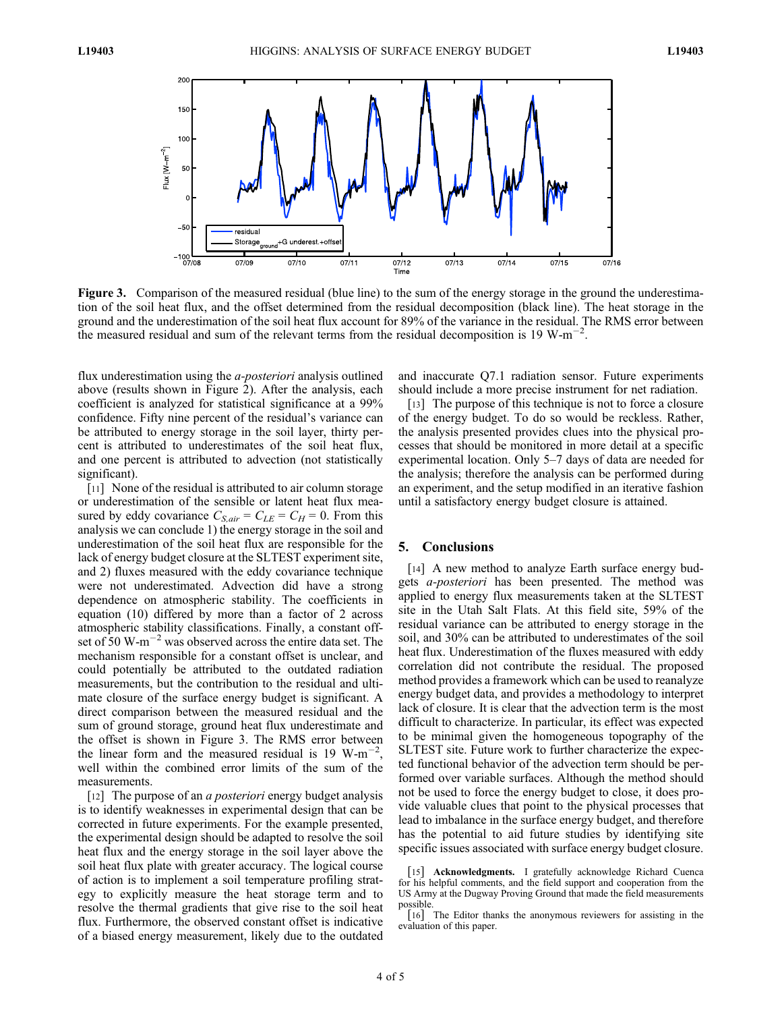

Figure 3. Comparison of the measured residual (blue line) to the sum of the energy storage in the ground the underestimation of the soil heat flux, and the offset determined from the residual decomposition (black line). The heat storage in the ground and the underestimation of the soil heat flux account for 89% of the variance in the residual. The RMS error between the measured residual and sum of the relevant terms from the residual decomposition is 19 W-m<sup>-2</sup>.

flux underestimation using the *a-posteriori* analysis outlined above (results shown in Figure 2). After the analysis, each coefficient is analyzed for statistical significance at a 99% confidence. Fifty nine percent of the residual's variance can be attributed to energy storage in the soil layer, thirty percent is attributed to underestimates of the soil heat flux, and one percent is attributed to advection (not statistically significant).

[11] None of the residual is attributed to air column storage or underestimation of the sensible or latent heat flux measured by eddy covariance  $C_{S,air} = C_{LE} = C_H = 0$ . From this analysis we can conclude 1) the energy storage in the soil and underestimation of the soil heat flux are responsible for the lack of energy budget closure at the SLTEST experiment site, and 2) fluxes measured with the eddy covariance technique were not underestimated. Advection did have a strong dependence on atmospheric stability. The coefficients in equation (10) differed by more than a factor of 2 across atmospheric stability classifications. Finally, a constant offset of  $50 \text{ W-m}^{-2}$  was observed across the entire data set. The mechanism responsible for a constant offset is unclear, and could potentially be attributed to the outdated radiation measurements, but the contribution to the residual and ultimate closure of the surface energy budget is significant. A direct comparison between the measured residual and the sum of ground storage, ground heat flux underestimate and the offset is shown in Figure 3. The RMS error between the linear form and the measured residual is 19 W-m<sup>-2</sup>, well within the combined error limits of the sum of the measurements.

[12] The purpose of an *a posteriori* energy budget analysis is to identify weaknesses in experimental design that can be corrected in future experiments. For the example presented, the experimental design should be adapted to resolve the soil heat flux and the energy storage in the soil layer above the soil heat flux plate with greater accuracy. The logical course of action is to implement a soil temperature profiling strategy to explicitly measure the heat storage term and to resolve the thermal gradients that give rise to the soil heat flux. Furthermore, the observed constant offset is indicative of a biased energy measurement, likely due to the outdated and inaccurate Q7.1 radiation sensor. Future experiments should include a more precise instrument for net radiation.

[13] The purpose of this technique is not to force a closure of the energy budget. To do so would be reckless. Rather, the analysis presented provides clues into the physical processes that should be monitored in more detail at a specific experimental location. Only 5–7 days of data are needed for the analysis; therefore the analysis can be performed during an experiment, and the setup modified in an iterative fashion until a satisfactory energy budget closure is attained.

#### 5. Conclusions

[14] A new method to analyze Earth surface energy budgets a-posteriori has been presented. The method was applied to energy flux measurements taken at the SLTEST site in the Utah Salt Flats. At this field site, 59% of the residual variance can be attributed to energy storage in the soil, and 30% can be attributed to underestimates of the soil heat flux. Underestimation of the fluxes measured with eddy correlation did not contribute the residual. The proposed method provides a framework which can be used to reanalyze energy budget data, and provides a methodology to interpret lack of closure. It is clear that the advection term is the most difficult to characterize. In particular, its effect was expected to be minimal given the homogeneous topography of the SLTEST site. Future work to further characterize the expected functional behavior of the advection term should be performed over variable surfaces. Although the method should not be used to force the energy budget to close, it does provide valuable clues that point to the physical processes that lead to imbalance in the surface energy budget, and therefore has the potential to aid future studies by identifying site specific issues associated with surface energy budget closure.

<sup>[15]</sup> Acknowledgments. I gratefully acknowledge Richard Cuenca for his helpful comments, and the field support and cooperation from the US Army at the Dugway Proving Ground that made the field measurements possible.

<sup>[16]</sup> The Editor thanks the anonymous reviewers for assisting in the evaluation of this paper.